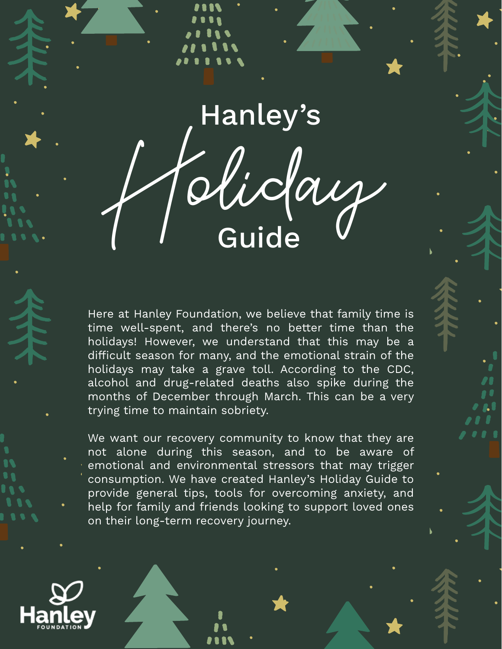Holiday Hanley's Guide

Here at Hanley Foundation, we believe that family time is time well-spent, and there's no better time than the holidays! However, we understand that this may be a difficult season for many, and the emotional strain of the holidays may take a grave toll. According to the CDC, alcohol and drug-related deaths also spike during the months of December through March. This can be a very trying time to maintain sobriety.

We want our recovery community to know that they are not alone during this season, and to be aware of emotional and environmental stressors that may trigger consumption. We have created Hanley's Holiday Guide to provide general tips, tools for overcoming anxiety, and help for family and friends looking to support loved ones on their long-term recovery journey.

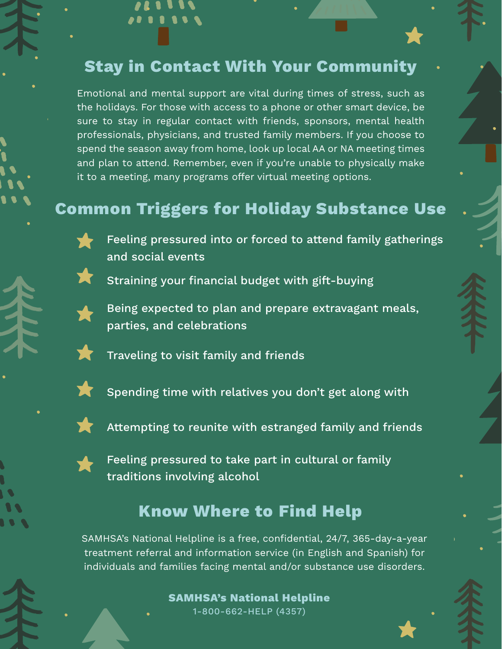### **Stay in Contact With Your Community**

Emotional and mental support are vital during times of stress, such as the holidays. For those with access to a phone or other smart device, be sure to stay in regular contact with friends, sponsors, mental health professionals, physicians, and trusted family members. If you choose to spend the season away from home, look up local AA or NA meeting times and plan to attend. Remember, even if you're unable to physically make it to a meeting, many programs offer virtual meeting options.

### **Common Triggers for Holiday Substance Use**



Feeling pressured into or forced to attend family gatherings and social events



Straining your financial budget with gift-buying



Being expected to plan and prepare extravagant meals, parties, and celebrations



Traveling to visit family and friends



Spending time with relatives you don't get along with



Attempting to reunite with estranged family and friends



Feeling pressured to take part in cultural or family traditions involving alcohol

#### **Know Where to Find Help**

SAMHSA's National Helpline is a free, confidential, 24/7, 365-day-a-year treatment referral and information service (in English and Spanish) for individuals and families facing mental and/or substance use disorders.

> **SAMHSA's National Helpline** 1-800-662-HELP (4357)